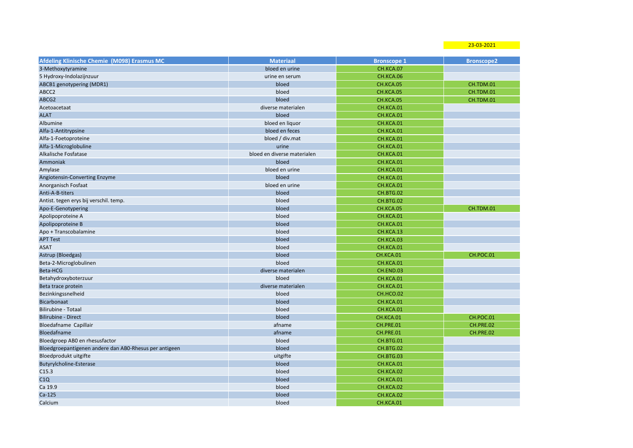23-03-2021

| Afdeling Klinische Chemie (M098) Erasmus MC            | <b>Materiaal</b>            | <b>Bronscope 1</b> | <b>Bronscope2</b> |
|--------------------------------------------------------|-----------------------------|--------------------|-------------------|
| 3-Methoxytyramine                                      | bloed en urine              | CH.KCA.07          |                   |
| 5 Hydroxy-Indolazijnzuur                               | urine en serum              | CH.KCA.06          |                   |
| ABCB1 genotypering (MDR1)                              | bloed                       | CH.KCA.05          | CH.TDM.01         |
| ABCC2                                                  | bloed                       | CH.KCA.05          | CH.TDM.01         |
| ABCG2                                                  | bloed                       | CH.KCA.05          | CH.TDM.01         |
| Acetoacetaat                                           | diverse materialen          | CH.KCA.01          |                   |
| <b>ALAT</b>                                            | bloed                       | CH.KCA.01          |                   |
| Albumine                                               | bloed en liquor             | CH.KCA.01          |                   |
| Alfa-1-Antitrypsine                                    | bloed en feces              | CH.KCA.01          |                   |
| Alfa-1-Foetoproteine                                   | bloed / div.mat             | CH.KCA.01          |                   |
| Alfa-1-Microglobuline                                  | urine                       | CH.KCA.01          |                   |
| Alkalische Fosfatase                                   | bloed en diverse materialen | CH.KCA.01          |                   |
| Ammoniak                                               | bloed                       | CH.KCA.01          |                   |
| Amylase                                                | bloed en urine              | CH.KCA.01          |                   |
| Angiotensin-Converting Enzyme                          | bloed                       | CH.KCA.01          |                   |
| Anorganisch Fosfaat                                    | bloed en urine              | CH.KCA.01          |                   |
| Anti-A-B-titers                                        | bloed                       | CH.BTG.02          |                   |
| Antist. tegen erys bij verschil. temp.                 | bloed                       | CH.BTG.02          |                   |
| Apo-E-Genotypering                                     | bloed                       | CH.KCA.05          | CH.TDM.01         |
| Apolipoproteine A                                      | bloed                       | CH.KCA.01          |                   |
| Apolipoproteine B                                      | bloed                       | CH.KCA.01          |                   |
| Apo + Transcobalamine                                  | bloed                       | CH.KCA.13          |                   |
| <b>APT Test</b>                                        | bloed                       | CH.KCA.03          |                   |
| <b>ASAT</b>                                            | bloed                       | CH.KCA.01          |                   |
| Astrup (Bloedgas)                                      | bloed                       | CH.KCA.01          | CH.POC.01         |
| Beta-2-Microglobulinen                                 | bloed                       | CH.KCA.01          |                   |
| Beta-HCG                                               | diverse materialen          | CH.END.03          |                   |
| Betahydroxyboterzuur                                   | bloed                       | CH.KCA.01          |                   |
| Beta trace protein                                     | diverse materialen          | CH.KCA.01          |                   |
| Bezinkingssnelheid                                     | bloed                       | CH.HCO.02          |                   |
| <b>Bicarbonaat</b>                                     | bloed                       | CH.KCA.01          |                   |
| Bilirubine - Totaal                                    | bloed                       | CH.KCA.01          |                   |
| <b>Bilirubine - Direct</b>                             | bloed                       | CH.KCA.01          | CH.POC.01         |
| Bloedafname Capillair                                  | afname                      | CH.PRE.01          | <b>CH.PRE.02</b>  |
| Bloedafname                                            | afname                      | CH.PRE.01          | CH.PRE.02         |
| Bloedgroep AB0 en rhesusfactor                         | bloed                       | CH.BTG.01          |                   |
| Bloedgroepantigenen andere dan ABO-Rhesus per antigeen | bloed                       | CH.BTG.02          |                   |
| Bloedprodukt uitgifte                                  | uitgifte                    | CH.BTG.03          |                   |
| Butyrylcholine-Esterase                                | bloed                       | CH.KCA.01          |                   |
| C15.3                                                  | bloed                       | CH.KCA.02          |                   |
| C1Q                                                    | bloed                       | CH.KCA.01          |                   |
| Ca 19.9                                                | bloed                       | CH.KCA.02          |                   |
| $Ca-125$                                               | bloed                       | CH.KCA.02          |                   |
| Calcium                                                | bloed                       | CH.KCA.01          |                   |
|                                                        |                             |                    |                   |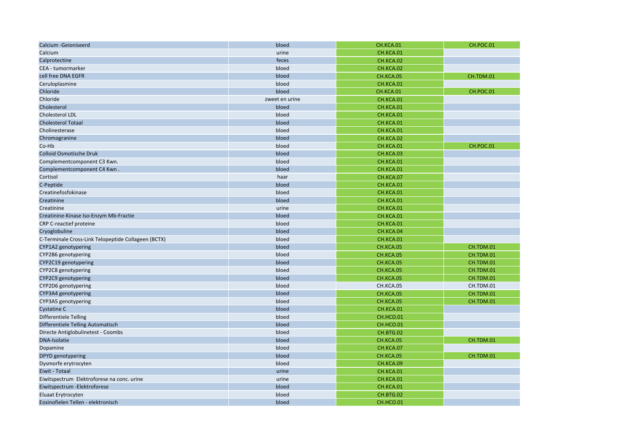| Calcium -Geioniseerd                                | bloed          | CH.KCA.01 | CH.POC.01 |
|-----------------------------------------------------|----------------|-----------|-----------|
| Calcium                                             | urine          | CH.KCA.01 |           |
| Calprotectine                                       | feces          | CH.KCA.02 |           |
| CEA - tumormarker                                   | bloed          | CH.KCA.02 |           |
| cell free DNA EGFR                                  | bloed          | CH.KCA.05 | CH.TDM.01 |
| Ceruloplasmine                                      | bloed          | CH.KCA.01 |           |
| Chloride                                            | bloed          | CH.KCA.01 | CH.POC.01 |
| Chloride                                            | zweet en urine | CH.KCA.01 |           |
| Cholesterol                                         | bloed          | CH.KCA.01 |           |
| Cholesterol LDL                                     | bloed          | CH.KCA.01 |           |
| <b>Cholesterol Totaal</b>                           | bloed          | CH.KCA.01 |           |
| Cholinesterase                                      | bloed          | CH.KCA.01 |           |
| Chromogranine                                       | bloed          | CH.KCA.02 |           |
| Co-Hb                                               | bloed          | CH.KCA.01 | CH.POC.01 |
| <b>Colloid Osmotische Druk</b>                      | bloed          | CH.KCA.03 |           |
| Complementcomponent C3 Kwn.                         | bloed          | CH.KCA.01 |           |
| Complementcomponent C4 Kwn.                         | bloed          | CH.KCA.01 |           |
| Cortisol                                            | haar           | CH.KCA.07 |           |
| C-Peptide                                           | bloed          | CH.KCA.01 |           |
| Creatinefosfokinase                                 | bloed          | CH.KCA.01 |           |
| Creatinine                                          | bloed          | CH.KCA.01 |           |
| Creatinine                                          | urine          | CH.KCA.01 |           |
| Creatinine-Kinase Iso-Enzym Mb-Fractie              | bloed          | CH.KCA.01 |           |
| CRP C-reactief proteine                             | bloed          | CH.KCA.01 |           |
| Cryoglobuline                                       | bloed          | CH.KCA.04 |           |
| C-Terminale Cross-Link Telopeptide Collageen (BCTX) | bloed          | CH.KCA.01 |           |
| CYP1A2 genotypering                                 | bloed          | CH.KCA.05 | CH.TDM.01 |
| CYP2B6 genotypering                                 | bloed          | CH.KCA.05 | CH.TDM.01 |
| CYP2C19 genotypering                                | bloed          | CH.KCA.05 | CH.TDM.01 |
| CYP2C8 genotypering                                 | bloed          | CH.KCA.05 | CH.TDM.01 |
| CYP2C9 genotypering                                 | bloed          | CH.KCA.05 | CH.TDM.01 |
| CYP2D6 genotypering                                 | bloed          | CH.KCA.05 | CH.TDM.01 |
| CYP3A4 genotypering                                 | bloed          | CH.KCA.05 | CH.TDM.01 |
| CYP3A5 genotypering                                 | bloed          | CH.KCA.05 | CH.TDM.01 |
| <b>Cystatine C</b>                                  | bloed          | CH.KCA.01 |           |
| Differentiele Telling                               | bloed          | CH.HCO.01 |           |
| Differentiele Telling Automatisch                   | bloed          | CH.HCO.01 |           |
| Directe Antiglobulinetest - Coombs                  | bloed          | CH.BTG.02 |           |
| <b>DNA-Isolatie</b>                                 | bloed          | CH.KCA.05 | CH.TDM.01 |
| Dopamine                                            | bloed          | CH.KCA.07 |           |
| DPYD genotypering                                   | bloed          | CH.KCA.05 | CH.TDM.01 |
| Dysmorfe erytrocyten                                | bloed          | CH.KCA.09 |           |
| Eiwit - Totaal                                      | urine          | CH.KCA.01 |           |
| Eiwitspectrum Elektroforese na conc. urine          | urine          | CH.KCA.01 |           |
| Eiwitspectrum - Elektroforese                       | bloed          | CH.KCA.01 |           |
| Eluaat Erytrocyten                                  | bloed          | CH.BTG.02 |           |
| Eosinofielen Tellen - elektronisch                  | bloed          | CH.HCO.01 |           |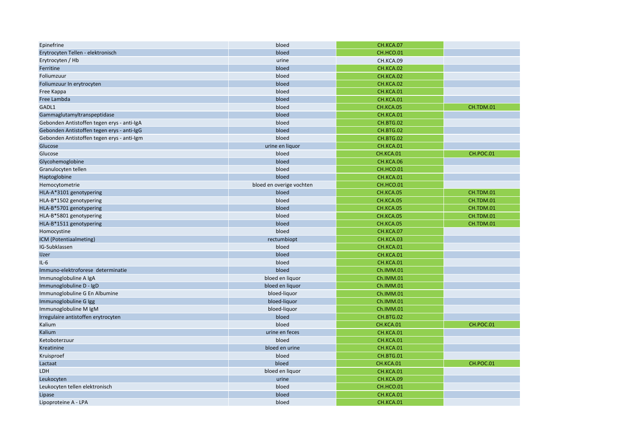| Epinefrine                                 | bloed                    | CH.KCA.07 |           |
|--------------------------------------------|--------------------------|-----------|-----------|
| Erytrocyten Tellen - elektronisch          | bloed                    | CH.HCO.01 |           |
| Erytrocyten / Hb                           | urine                    | CH.KCA.09 |           |
| Ferritine                                  | bloed                    | CH.KCA.02 |           |
| Foliumzuur                                 | bloed                    | CH.KCA.02 |           |
| Foliumzuur In erytrocyten                  | bloed                    | CH.KCA.02 |           |
| Free Kappa                                 | bloed                    | CH.KCA.01 |           |
| Free Lambda                                | bloed                    | CH.KCA.01 |           |
| GADL1                                      | bloed                    | CH.KCA.05 | CH.TDM.01 |
| Gammaglutamyltranspeptidase                | bloed                    | CH.KCA.01 |           |
| Gebonden Antistoffen tegen erys - anti-IgA | bloed                    | CH.BTG.02 |           |
| Gebonden Antistoffen tegen erys - anti-IgG | bloed                    | CH.BTG.02 |           |
| Gebonden Antistoffen tegen erys - anti-Igm | bloed                    | CH.BTG.02 |           |
| Glucose                                    | urine en liquor          | CH.KCA.01 |           |
| Glucose                                    | bloed                    | CH.KCA.01 | CH.POC.01 |
| Glycohemoglobine                           | bloed                    | CH.KCA.06 |           |
| Granulocyten tellen                        | bloed                    | CH.HCO.01 |           |
| Haptoglobine                               | bloed                    | CH.KCA.01 |           |
| Hemocytometrie                             | bloed en overige vochten | CH.HCO.01 |           |
| HLA-A*3101 genotypering                    | bloed                    | CH.KCA.05 | CH.TDM.01 |
| HLA-B*1502 genotypering                    | bloed                    | CH.KCA.05 | CH.TDM.01 |
| HLA-B*5701 genotypering                    | bloed                    | CH.KCA.05 | CH.TDM.01 |
| HLA-B*5801 genotypering                    | bloed                    | CH.KCA.05 | CH.TDM.01 |
| HLA-B*1511 genotypering                    | bloed                    | CH.KCA.05 | CH.TDM.01 |
| Homocystine                                | bloed                    | CH.KCA.07 |           |
| ICM (Potentiaalmeting)                     | rectumbiopt              | CH.KCA.03 |           |
| IG-Subklassen                              | bloed                    | CH.KCA.01 |           |
| <b>IJzer</b>                               | bloed                    | CH.KCA.01 |           |
| $IL-6$                                     | bloed                    | CH.KCA.01 |           |
| Immuno-elektroforese determinatie          | bloed                    | Ch.IMM.01 |           |
| Immunoglobuline A IgA                      | bloed en liquor          | Ch.IMM.01 |           |
| Immunoglobuline D - IgD                    | bloed en liquor          | Ch.IMM.01 |           |
| Immunoglobuline G En Albumine              | bloed-liquor             | Ch.IMM.01 |           |
| Immunoglobuline G Igg                      | bloed-liquor             | Ch.IMM.01 |           |
| Immunoglobuline M IgM                      | bloed-liquor             | Ch.IMM.01 |           |
| Irregulaire antistoffen erytrocyten        | bloed                    | CH.BTG.02 |           |
| Kalium                                     | bloed                    | CH.KCA.01 | CH.POC.01 |
| Kalium                                     | urine en feces           | CH.KCA.01 |           |
| Ketoboterzuur                              | bloed                    | CH.KCA.01 |           |
| Kreatinine                                 | bloed en urine           | CH.KCA.01 |           |
| Kruisproef                                 | bloed                    | CH.BTG.01 |           |
| Lactaat                                    | bloed                    | CH.KCA.01 | CH.POC.01 |
| LDH                                        | bloed en liquor          | CH.KCA.01 |           |
| Leukocyten                                 | urine                    | CH.KCA.09 |           |
| Leukocyten tellen elektronisch             | bloed                    | CH.HCO.01 |           |
| Lipase                                     | bloed                    | CH.KCA.01 |           |
| Lipoproteine A - LPA                       | bloed                    | CH.KCA.01 |           |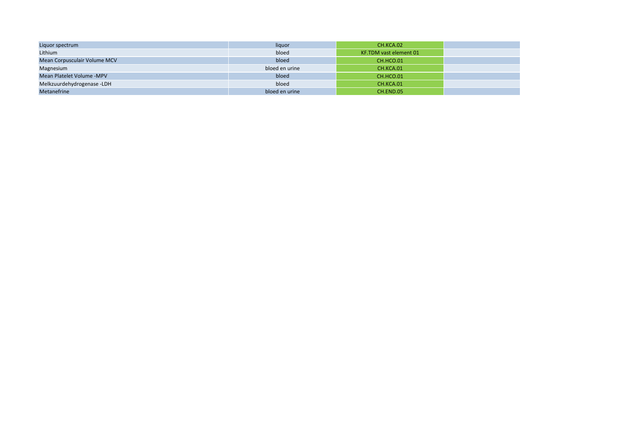| Liquor spectrum              | liquor         | CH.KCA.02              |
|------------------------------|----------------|------------------------|
| Lithium                      | bloed          | KF.TDM vast element 01 |
| Mean Corpusculair Volume MCV | bloed          | CH.HCO.01              |
| Magnesium                    | bloed en urine | CH.KCA.01              |
| Mean Platelet Volume -MPV    | bloed          | CH.HCO.01              |
| Melkzuurdehydrogenase -LDH   | bloed          | CH.KCA.01              |
| <b>Metanefrine</b>           | bloed en urine | CH.END.05              |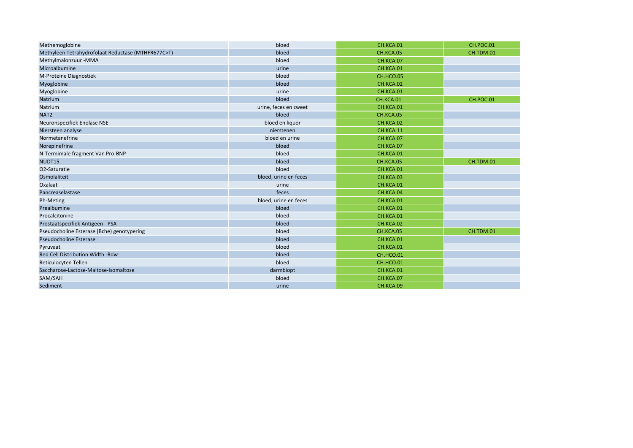| Methemoglobine                                     | bloed                 | CH.KCA.01 | CH.POC.01 |
|----------------------------------------------------|-----------------------|-----------|-----------|
| Methyleen Tetrahydrofolaat Reductase (MTHFR677C>T) | bloed                 | CH.KCA.05 | CH.TDM.01 |
| Methylmalonzuur - MMA                              | bloed                 | CH.KCA.07 |           |
| Microalbumine                                      | urine                 | CH.KCA.01 |           |
| M-Proteine Diagnostiek                             | bloed                 | CH.HCO.05 |           |
| Myoglobine                                         | bloed                 | CH.KCA.02 |           |
| Myoglobine                                         | urine                 | CH.KCA.01 |           |
| Natrium                                            | bloed                 | CH.KCA.01 | CH.POC.01 |
| Natrium                                            | urine, feces en zweet | CH.KCA.01 |           |
| NAT <sub>2</sub>                                   | bloed                 | CH.KCA.05 |           |
| Neuronspecifiek Enolase NSE                        | bloed en liquor       | CH.KCA.02 |           |
| Niersteen analyse                                  | nierstenen            | CH.KCA.11 |           |
| Normetanefrine                                     | bloed en urine        | CH.KCA.07 |           |
| Norepinefrine                                      | bloed                 | CH.KCA.07 |           |
| N-Termimale fragment Van Pro-BNP                   | bloed                 | CH.KCA.01 |           |
| NUDT15                                             | bloed                 | CH.KCA.05 | CH.TDM.01 |
| O2-Saturatie                                       | bloed                 | CH.KCA.01 |           |
| Osmolaliteit                                       | bloed, urine en feces | CH.KCA.03 |           |
| Oxalaat                                            | urine                 | CH.KCA.01 |           |
| Pancreaselastase                                   | feces                 | CH.KCA.04 |           |
| Ph-Meting                                          | bloed, urine en feces | CH.KCA.01 |           |
| Prealbumine                                        | bloed                 | CH.KCA.01 |           |
| Procalcitonine                                     | bloed                 | CH.KCA.01 |           |
| Prostaatspecifiek Antigeen - PSA                   | bloed                 | CH.KCA.02 |           |
| Pseudocholine Esterase (Bche) genotypering         | bloed                 | CH.KCA.05 | CH.TDM.01 |
| <b>Pseudocholine Esterase</b>                      | bloed                 | CH.KCA.01 |           |
| Pyruvaat                                           | bloed                 | CH.KCA.01 |           |
| Red Cell Distribution Width -Rdw                   | bloed                 | CH.HCO.01 |           |
| Reticulocyten Tellen                               | bloed                 | CH.HCO.01 |           |
| Saccharose-Lactose-Maltose-Isomaltose              | darmbiopt             | CH.KCA.01 |           |
| SAM/SAH                                            | bloed                 | CH.KCA.07 |           |
| Sediment                                           | urine                 | CH.KCA.09 |           |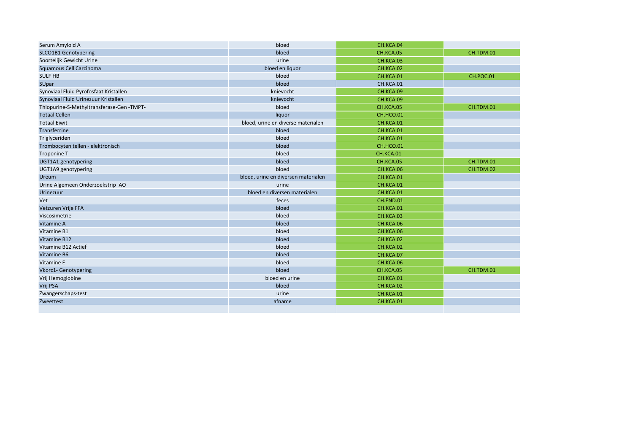| Serum Amyloid A                          | bloed                               | CH.KCA.04 |           |
|------------------------------------------|-------------------------------------|-----------|-----------|
| SLCO1B1 Genotypering                     | bloed                               | CH.KCA.05 | CH.TDM.01 |
| Soortelijk Gewicht Urine                 | urine                               | CH.KCA.03 |           |
| Squamous Cell Carcinoma                  | bloed en liquor                     | CH.KCA.02 |           |
| <b>SULF HB</b>                           | bloed                               | CH.KCA.01 | CH.POC.01 |
| SUpar                                    | bloed                               | CH.KCA.01 |           |
| Synoviaal Fluid Pyrofosfaat Kristallen   | knievocht                           | CH.KCA.09 |           |
| Synoviaal Fluid Urinezuur Kristallen     | knievocht                           | CH.KCA.09 |           |
| Thiopurine-S-Methyltransferase-Gen-TMPT- | bloed                               | CH.KCA.05 | CH.TDM.01 |
| <b>Totaal Cellen</b>                     | liquor                              | CH.HCO.01 |           |
| <b>Totaal Eiwit</b>                      | bloed, urine en diverse materialen  | CH.KCA.01 |           |
| Transferrine                             | bloed                               | CH.KCA.01 |           |
| Triglyceriden                            | bloed                               | CH.KCA.01 |           |
| Trombocyten tellen - elektronisch        | bloed                               | CH.HCO.01 |           |
| Troponine T                              | bloed                               | CH.KCA.01 |           |
| UGT1A1 genotypering                      | bloed                               | CH.KCA.05 | CH.TDM.01 |
| UGT1A9 genotypering                      | bloed                               | CH.KCA.06 | CH.TDM.02 |
| <b>Ureum</b>                             | bloed, urine en diversen materialen | CH.KCA.01 |           |
| Urine Algemeen Onderzoekstrip AO         | urine                               | CH.KCA.01 |           |
| Urinezuur                                | bloed en diversen materialen        | CH.KCA.01 |           |
| Vet                                      | feces                               | CH.END.01 |           |
| Vetzuren Vrije FFA                       | bloed                               | CH.KCA.01 |           |
| Viscosimetrie                            | bloed                               | CH.KCA.03 |           |
| Vitamine A                               | bloed                               | CH.KCA.06 |           |
| Vitamine B1                              | bloed                               | CH.KCA.06 |           |
| Vitamine B12                             | bloed                               | CH.KCA.02 |           |
| Vitamine B12 Actief                      | bloed                               | CH.KCA.02 |           |
| Vitamine B6                              | bloed                               | CH.KCA.07 |           |
| Vitamine E                               | bloed                               | CH.KCA.06 |           |
| <b>Vkorc1- Genotypering</b>              | bloed                               | CH.KCA.05 | CH.TDM.01 |
| Vrij Hemoglobine                         | bloed en urine                      | CH.KCA.01 |           |
| Vrij PSA                                 | bloed                               | CH.KCA.02 |           |
| Zwangerschaps-test                       | urine                               | CH.KCA.01 |           |
| Zweettest                                | afname                              | CH.KCA.01 |           |
|                                          |                                     |           |           |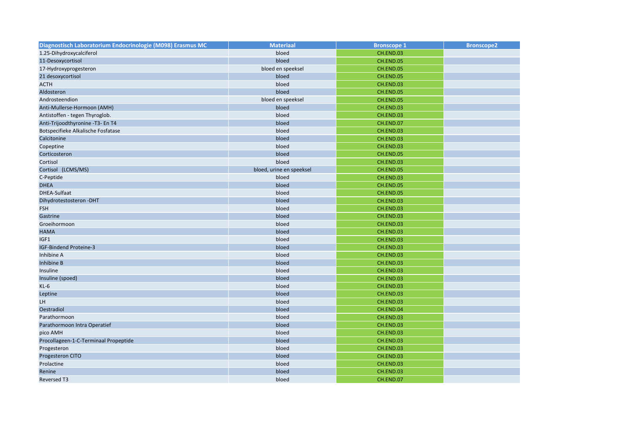| Diagnostisch Laboratorium Endocrinologie (M098) Erasmus MC | <b>Materiaal</b>         | <b>Bronscope 1</b> | <b>Bronscope2</b> |
|------------------------------------------------------------|--------------------------|--------------------|-------------------|
| 1.25-Dihydroxycalciferol                                   | bloed                    | CH.END.03          |                   |
| 11-Desoxycortisol                                          | bloed                    | CH.END.05          |                   |
| 17-Hydroxyprogesteron                                      | bloed en speeksel        | CH.END.05          |                   |
| 21 desoxycortisol                                          | bloed                    | CH.END.05          |                   |
| <b>ACTH</b>                                                | bloed                    | CH.END.03          |                   |
| Aldosteron                                                 | bloed                    | CH.END.05          |                   |
| Androsteendion                                             | bloed en speeksel        | CH.END.05          |                   |
| Anti-Mullerse-Hormoon (AMH)                                | bloed                    | CH.END.03          |                   |
| Antistoffen - tegen Thyroglob.                             | bloed                    | CH.END.03          |                   |
| Anti-Trijoodthyronine -T3- En T4                           | bloed                    | CH.END.07          |                   |
| Botspecifieke Alkalische Fosfatase                         | bloed                    | CH.END.03          |                   |
| Calcitonine                                                | bloed                    | CH.END.03          |                   |
| Copeptine                                                  | bloed                    | CH.END.03          |                   |
| Corticosteron                                              | bloed                    | CH.END.05          |                   |
| Cortisol                                                   | bloed                    | CH.END.03          |                   |
| Cortisol (LCMS/MS)                                         | bloed, urine en speeksel | CH.END.05          |                   |
| C-Peptide                                                  | bloed                    | CH.END.03          |                   |
| <b>DHEA</b>                                                | bloed                    | CH.END.05          |                   |
| DHEA-Sulfaat                                               | bloed                    | CH.END.05          |                   |
| Dihydrotestosteron -DHT                                    | bloed                    | CH.END.03          |                   |
| <b>FSH</b>                                                 | bloed                    | CH.END.03          |                   |
| Gastrine                                                   | bloed                    | CH.END.03          |                   |
| Groeihormoon                                               | bloed                    | CH.END.03          |                   |
| <b>HAMA</b>                                                | bloed                    | CH.END.03          |                   |
| IGF1                                                       | bloed                    | CH.END.03          |                   |
| IGF-Bindend Proteine-3                                     | bloed                    | CH.END.03          |                   |
| Inhibine A                                                 | bloed                    | CH.END.03          |                   |
| Inhibine B                                                 | bloed                    | CH.END.03          |                   |
| Insuline                                                   | bloed                    | CH.END.03          |                   |
| Insuline (spoed)                                           | bloed                    | CH.END.03          |                   |
| $KL-6$                                                     | bloed                    | CH.END.03          |                   |
| Leptine                                                    | bloed                    | CH.END.03          |                   |
| LH                                                         | bloed                    | CH.END.03          |                   |
| Oestradiol                                                 | bloed                    | CH.END.04          |                   |
| Parathormoon                                               | bloed                    | CH.END.03          |                   |
| Parathormoon Intra Operatief                               | bloed                    | CH.END.03          |                   |
| pico AMH                                                   | bloed                    | CH.END.03          |                   |
| Procollageen-1-C-Terminaal Propeptide                      | bloed                    | CH.END.03          |                   |
| Progesteron                                                | bloed                    | CH.END.03          |                   |
| Progesteron CITO                                           | bloed                    | CH.END.03          |                   |
| Prolactine                                                 | bloed                    | CH.END.03          |                   |
| Renine                                                     | bloed                    | CH.END.03          |                   |
| <b>Reversed T3</b>                                         | bloed                    | CH.END.07          |                   |